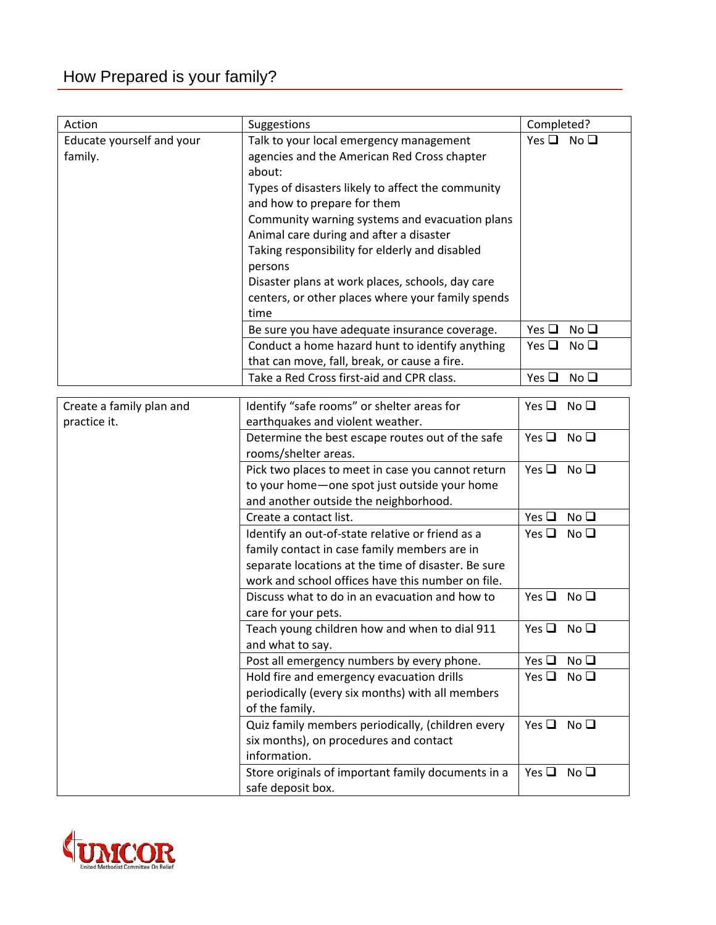| Action                    | Suggestions                                         | Completed?                       |
|---------------------------|-----------------------------------------------------|----------------------------------|
| Educate yourself and your | Talk to your local emergency management             | Yes $\Box$ No $\Box$             |
| family.                   | agencies and the American Red Cross chapter         |                                  |
|                           | about:                                              |                                  |
|                           | Types of disasters likely to affect the community   |                                  |
|                           | and how to prepare for them                         |                                  |
|                           | Community warning systems and evacuation plans      |                                  |
|                           | Animal care during and after a disaster             |                                  |
|                           | Taking responsibility for elderly and disabled      |                                  |
|                           | persons                                             |                                  |
|                           | Disaster plans at work places, schools, day care    |                                  |
|                           | centers, or other places where your family spends   |                                  |
|                           | time                                                |                                  |
|                           | Be sure you have adequate insurance coverage.       | Yes $\square$<br>No <sub>Q</sub> |
|                           | Conduct a home hazard hunt to identify anything     | Yes $\square$<br>No <sub>Q</sub> |
|                           | that can move, fall, break, or cause a fire.        |                                  |
|                           | Take a Red Cross first-aid and CPR class.           | Yes $\square$<br>No <sub>Q</sub> |
|                           |                                                     |                                  |
| Create a family plan and  | Identify "safe rooms" or shelter areas for          | No <sub>Q</sub><br>Yes $\square$ |
| practice it.              | earthquakes and violent weather.                    |                                  |
|                           | Determine the best escape routes out of the safe    | No <sub>Q</sub><br>Yes $\Box$    |
|                           | rooms/shelter areas.                                |                                  |
|                           | Pick two places to meet in case you cannot return   | Yes $\Box$ No $\Box$             |
|                           | to your home-one spot just outside your home        |                                  |
|                           | and another outside the neighborhood.               |                                  |
|                           | Create a contact list.                              | Yes $\square$<br>No <sub>Q</sub> |
|                           | Identify an out-of-state relative or friend as a    | No <sub>Q</sub><br>Yes $\Box$    |
|                           | family contact in case family members are in        |                                  |
|                           | separate locations at the time of disaster. Be sure |                                  |
|                           | work and school offices have this number on file.   |                                  |
|                           | Discuss what to do in an evacuation and how to      | No <sub>Q</sub><br>Yes $\square$ |
|                           | care for your pets.                                 |                                  |
|                           | Teach young children how and when to dial 911       | Yes $\Box$ No $\Box$             |
|                           | and what to say.                                    |                                  |
|                           | Post all emergency numbers by every phone.          | Yes $\square$<br>No <sub>Q</sub> |
|                           | Hold fire and emergency evacuation drills           | No <sub>Q</sub><br>Yes $\Box$    |
|                           | periodically (every six months) with all members    |                                  |
|                           | of the family.                                      |                                  |
|                           | Quiz family members periodically, (children every   | Yes $\square$<br>No <sub>Q</sub> |
|                           | six months), on procedures and contact              |                                  |
|                           | information.                                        |                                  |
|                           | Store originals of important family documents in a  | Yes $\square$<br>No <sub>Q</sub> |
|                           | safe deposit box.                                   |                                  |